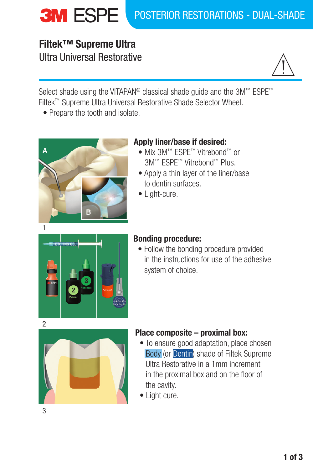# **Filtek™ Supreme Ultra** Ultra Universal Restorative



Select shade using the VITAPAN® classical shade guide and the 3M™ ESPE™ Filtek™ Supreme Ultra Universal Restorative Shade Selector Wheel.

• Prepare the tooth and isolate.



# **Apply liner/base if desired:**

- Mix 3M™ ESPE™ Vitrebond™ or 3M™ ESPE™ Vitrebond™ Plus.
- Apply a thin layer of the liner/base to dentin surfaces.
- Light-cure.



## **Bonding procedure:**

• Follow the bonding procedure provided in the instructions for use of the adhesive system of choice.



## **Place composite – proximal box:**

- To ensure good adaptation, place chosen Body (or Dentin) shade of Filtek Supreme Ultra Restorative in a 1mm increment in the proximal box and on the floor of the cavity.
- Light cure.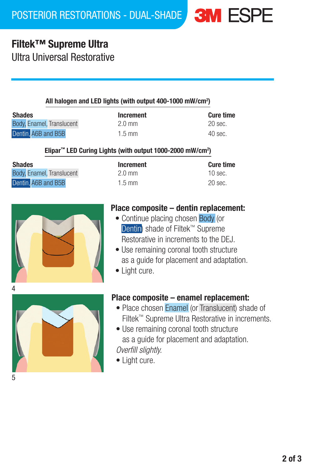# **Filtek™ Supreme Ultra**

Ultra Universal Restorative

#### All halogen and LED lights (with output 400-1000 mW/cm2 )

| Shades                    | <b>Increment</b> | <b>Cure time</b> |
|---------------------------|------------------|------------------|
| Body, Enamel, Translucent | $2.0 \text{ mm}$ | 20 sec.          |
| Dentin. A6B and B5B       | $1.5$ mm         | 40 sec.          |

| 2.0 mm |
|--------|
| 1.5 mm |

| <b>Cure time</b> |
|------------------|
| 20 sec.          |
| $40$ sec.        |

### Elipar<sup>™</sup> LED Curing Lights (with output 1000-2000 mW/cm<sup>2</sup>)

| <b>Shades</b>             | Increment        | <b>Cure time</b> |
|---------------------------|------------------|------------------|
| Body, Enamel, Translucent | $2.0 \text{ mm}$ | $10$ sec.        |
| Dentin. A6B and B5B       | $1.5$ mm         | 20 sec.          |

| Increment |
|-----------|
| 2.0 mm    |
| 1.5 mm    |



# **Place composite – dentin replacement:**

- Continue placing chosen Body (or Dentin) shade of Filtek™ Supreme Restorative in increments to the DEJ.
- Use remaining coronal tooth structure as a guide for placement and adaptation.
- Light cure.



## **Place composite – enamel replacement:**

- Place chosen Enamel (or Translucent) shade of Filtek™ Supreme Ultra Restorative in increments.
- Use remaining coronal tooth structure as a guide for placement and adaptation. *Overfill slightly.*
- Light cure.